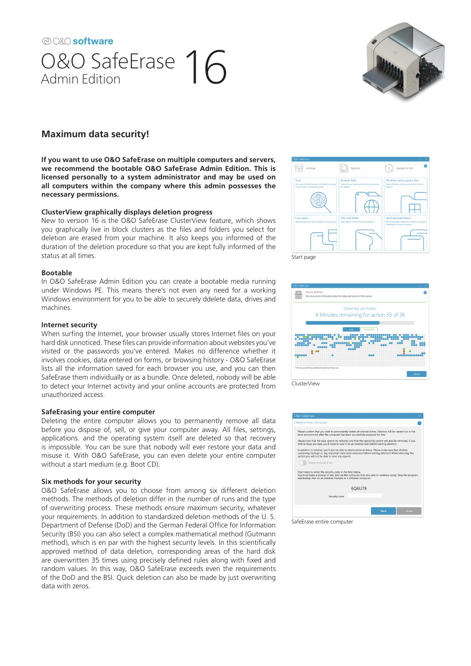@O&O software 0&0 SafeErase 16



# **Maximum data security!**

**If you want to use O&O SafeErase on multiple computers and servers, we recommend the bootable O&O SafeErase Admin Edition. This is licensed personally to a system administrator and may be used on all computers within the company where this admin possesses the necessary permissions.** 

## **ClusterView graphically displays deletion progress**

New to version 16 is the O&O SafeErase ClusterView feature, which shows you graphically live in block clusters as the files and folders you select for deletion are erased from your machine. It also keeps you informed of the duration of the deletion procedure so that you are kept fully informed of the status at all times.

### **Bootable**

In O&O SafeErase Admin Edition you can create a bootable media running under Windows PE. This means there's not even any need for a working Windows environment for you to be able to securely ddelete data, drives and machines.

### **Internet security**

When surfing the Internet, your browser usually stores Internet files on your hard disk unnoticed. These files can provide information about websites you've visited or the passwords you've entered. Makes no difference whether it involves cookies, data entered on forms, or browsing history - O&O SafeErase lists all the information saved for each browser you use, and you can then SafeErase them individually or as a bundle. Once deleted, nobody will be able to detect your Internet activity and your online accounts are protected from unauthorized access.

### **SafeErasing your entire computer**

Deleting the entire computer allows you to permanently remove all data before you dispose of, sell, or give your computer away. All files, settings, applications. and the operating system itself are deleted so that recovery is impossible. You can be sure that nobody will ever restore your data and misuse it. With O&O SafeErase, you can even delete your entire computer without a start medium (e.g. Boot CD).

### **Six methods for your security**

O&O SafeErase allows you to choose from among six different deletion methods. The methods of deletion differ in the number of runs and the type of overwriting process. These methods ensure maximum security, whatever your requirements. In addition to standardized deletion methods of the U. S. Department of Defense (DoD) and the German Federal Office for Information Security (BSI) you can also select a complex mathematical method (Gutmann method), which is en par with the highest security levels. In this scientifically approved method of data deletion, corresponding areas of the hard disk are overwritten 35 times using precisely defined rules along with fixed and random values. In this way, O&O SafeErase exceeds even the requirements of the DoD and the BSI. Quick deletion can also be made by just overwriting data with zeros.







SafeErase entire computer